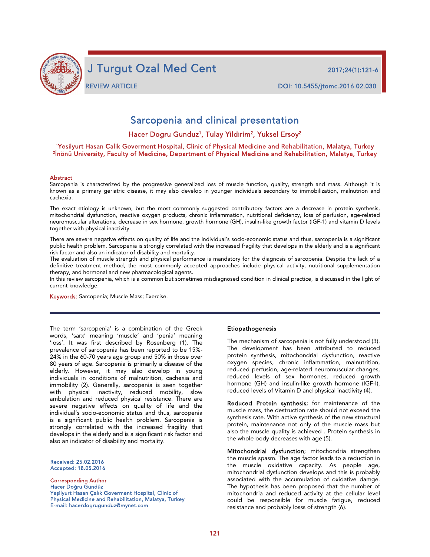

j

REVIEW ARTICLE DOI: 10.5455/jtomc.2016.02.030

# Sarcopenia and clinical presentation

Hacer Dogru Gunduz<sup>1</sup>, Tulay Yildirim<sup>2</sup>, Yuksel Ersoy<sup>2</sup>

# 1Yesilyurt Hasan Calik Goverment Hospital, Clinic of Physical Medicine and Rehabilitation, Malatya, Turkey <sup>2</sup>İnönü University, Faculty of Medicine, Department of Physical Medicine and Rehabilitation, Malatya, Turkey

#### Abstract

Sarcopenia is characterized by the progressive generalized loss of muscle function, quality, strength and mass. Although it is known as a primary geriatric disease, it may also develop in younger individuals secondary to immobilization, malnutrion and cachexia.

The exact etiology is unknown, but the most commonly suggested contributory factors are a decrease in protein synthesis, mitochondrial dysfunction, reactive oxygen products, chronic inflammation, nutritional deficiency, loss of perfusion, age-related neuromuscular alterations, decrease in sex hormone, growth hormone (GH), insulin-like growth factor (IGF-1) and vitamin D levels together with physical inactivity.

There are severe negative effects on quality of life and the individual's socio-economic status and thus, sarcopenia is a significant public health problem. Sarcopenia is strongly correlated with the increased fragility that develops in the elderly and is a significant risk factor and also an indicator of disability and mortality.

The evaluation of muscle strength and physical performance is mandatory for the diagnosis of sarcopenia. Despite the lack of a definitive treatment method, the most commonly accepted approaches include physical activity, nutritional supplementation therapy, and hormonal and new pharmacological agents.

In this review sarcopenia, which is a common but sometimes misdiagnosed condition in clinical practice, is discussed in the light of current knowledge.

Keywords: Sarcopenia; Muscle Mass; Exercise.

The term 'sarcopenia' is a combination of the Greek words, 'sarx' meaning 'muscle' and 'penia' meaning 'loss'. It was first described by Rosenberg (1). The prevalence of sarcopenia has been reported to be 15%- 24% in the 60-70 years age group and 50% in those over 80 years of age. Sarcopenia is primarily a disease of the elderly. However, it may also develop in young individuals in conditions of malnutrition, cachexia and immobility (2). Generally, sarcopenia is seen together with physical inactivity, reduced mobility, slow ambulation and reduced physical resistance. There are severe negative effects on quality of life and the individual's socio-economic status and thus, sarcopenia is a significant public health problem. Sarcopenia is strongly correlated with the increased fragility that develops in the elderly and is a significant risk factor and also an indicator of disability and mortality.

Received: 25.02.2016 Accepted: 18.05.2016

Corresponding Author Hacer Doğru Gündüz Yeşilyurt Hasan Çalık Goverment Hospital, Clinic of Physical Medicine and Rehabilitation, Malatya, Turkey E-mail: hacerdogrugunduz@mynet.com

#### Etiopathogenesis

The mechanism of sarcopenia is not fully understood (3). The development has been attributed to reduced protein synthesis, mitochondrial dysfunction, reactive oxygen species, chronic inflammation, malnutrition, reduced perfusion, age-related neuromuscular changes, reduced levels of sex hormones, reduced growth hormone (GH) and insulin-like growth hormone (IGF-I), reduced levels of Vitamin D and physical inactiivity (4).

Reduced Protein synthesis; for maintenance of the muscle mass, the destruction rate should not exceed the synthesis rate. With active synthesis of the new structural protein, maintenance not only of the muscle mass but also the muscle quality is achieved . Protein synthesis in the whole body decreases with age (5).

Mitochondrial dysfunction; mitochondria strengthen the muscle spasm. The age factor leads to a reduction in the muscle oxidative capacity. As people age, mitochondrial dysfunction develops and this is probably associated with the accumulation of oxidative damge. The hypothesis has been proposed that the number of mitochondria and reduced activity at the cellular level could be responsible for muscle fatigue, reduced resistance and probably losss of strength (6).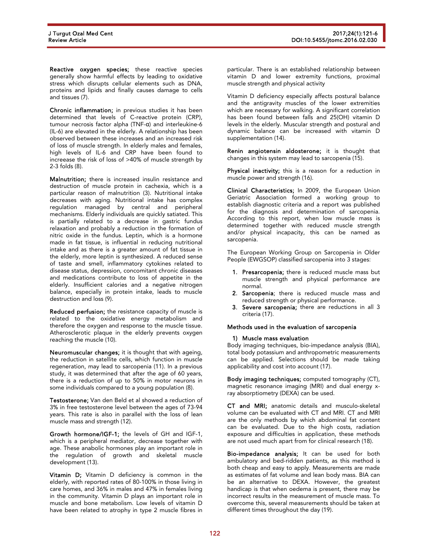Reactive oxygen species; these reactive species generally show harmful effects by leading to oxidative stress which disrupts cellular elements such as DNA, proteins and lipids and finally causes damage to cells and tissues (7).

Chronic inflammation; in previous studies it has been determined that levels of C-reactive protein (CRP), tumour necrosis factor alpha (TNF-α) and interleukine-6 (IL-6) are elevated in the elderly. A relationship has been observed between these increases and an increased risk of loss of muscle strength. In elderly males and females, high levels of IL-6 and CRP have been found to increease the risk of loss of >40% of muscle strength by 2-3 folds (8).

Malnutrition; there is increased insulin resistance and destruction of muscle protein in cachexia, which is a particular reason of malnutrition (3). Nutritional intake decreases with aging. Nutritional intake has complex regulation managed by central and peripheral mechanisms. Elderly individuals are quickly satiated. This is partially related to a decrease in gastric fundus relaxation and probably a reduction in the formation of nitric oxide in the fundus. Leptin, which is a hormone made in fat tissue, is influential in reducing nutritional intake and as there is a greater amount of fat tissue in the elderly, more leptin is synthesized. A reduced sense of taste and smell, inflammatory cytokines related to disease status, depression, concomitant chronic diseases and medications contribute to loss of appetite in the elderly. Insufficient calories and a negative nitrogen balance, especially in protein intake, leads to muscle destruction and loss (9).

Reduced perfusion; the resistance capacity of muscle is related to the oxidative energy metabolism and therefore the oxygen and response to the muscle tissue. Atherosclerotic plaque in the elderly prevents oxygen reaching the muscle (10).

Neuromuscular changes; it is thought that with ageing, the reduction in satellite cells, which function in muscle regeneration, may lead to sarcopenia (11). In a previous study, it was determined that after the age of 60 years, there is a reduction of up to 50% in motor neurons in some individuals compared to a young population (8).

Testosterone; Van den Beld et al showed a reduction of 3% in free testosterone level between the ages of 73-94 years. This rate is also in parallel with the loss of lean muscle mass and strength (12).

Growth hormone/IGF-1; the levels of GH and IGF-1, which is a peripheral mediator, decrease together with age. These anabolic hormones play an important role in the regulation of growth and skeletal muscle development (13).

Vitamin D; Vitamin D deficiency is common in the elderly, with reported rates of 80-100% in those living in care homes, and 36% in males and 47% in females living in the community. Vitamin D plays an important role in muscle and bone metabolism. Low levels of vitamin D have been related to atrophy in type 2 muscle fibres in

particular. There is an established relationship between vitamin D and lower extremity functions, proximal muscle strength and physical activity

Vitamin D deficiency especially affects postural balance and the antigravity muscles of the lower extremities which are necessary for walking. A significant correlation has been found between falls and 25(OH) vitamin D levels in the elderly. Muscular strength and postural and dynamic balance can be increased with vitamin D supplementation (14).

Renin angiotensin aldosterone; it is thought that changes in this system may lead to sarcopenia (15).

Physical inactivity; this is a reason for a reduction in muscle power and strength (16).

Clinical Characteristics; In 2009, the European Union Geriatric Association formed a working group to establish diagnostic criteria and a report was published for the diagnosis and determination of sarcopenia. According to this report, when low muscle mass is determined together with reduced muscle strength and/or physical incapacity, this can be named as sarcopenia.

The European Working Group on Sarcopenia in Older People (EWGSOP) classified sarcopenia into 3 stages:

- 1. Presarcopenia; there is reduced muscle mass but muscle strength and physical performance are normal.
- 2. Sarcopenia; there is reduced muscle mass and reduced strength or physical performance.
- 3. Severe sarcopenia; there are reductions in all 3 criteria (17).

#### Methods used in the evaluation of sarcopenia

#### 1) Muscle mass evaluation

Body imaging techniques, bio-impedance analysis (BIA), total body potassium and anthropometric measurements can be applied. Selections should be made taking applicability and cost into account (17).

Body imaging techniques; computed tomography (CT), magnetic resonance imaging (MRI) and dual energy xray absorptiometry (DEXA) can be used.

CT and MRI; anatomic details and musculo-skeletal volume can be evaluated with CT and MRI. CT and MRI are the only methods by which abdominal fat content can be evaluated. Due to the high costs, radiation exposure and difficulties in application, these methods are not used much apart from for clinical research (18).

Bio-impedance analysis; It can be used for both ambulatory and bed-ridden patients, as this method is both cheap and easy to apply. Measurements are made as estimates of fat volume and lean body mass. BIA can be an alternative to DEXA. However, the greatest handicap is that when oedema is present, there may be incorrect results in the measurement of muscle mass. To overcome this, several measurements should be taken at different times throughout the day (19).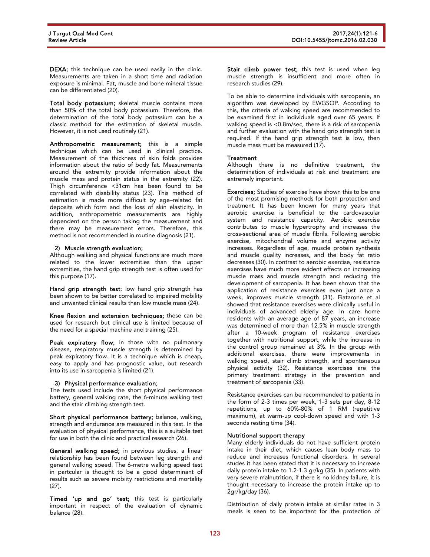DEXA; this technique can be used easily in the clinic. Measurements are taken in a short time and radiation exposure is minimal. Fat, muscle and bone mineral tissue can be differentiated (20).

Total body potassium; skeletal muscle contains more than 50% of the total body potassium. Therefore, the determination of the total body potassium can be a classic method for the estimation of skeletal muscle. However, it is not used routinely (21).

Anthropometric measurement; this is a simple technique which can be used in clinical practice. Measurement of the thickness of skin folds provides information about the ratio of body fat. Measurements around the extremity provide information about the muscle mass and protein status in the extremity (22). Thigh circumference <31cm has been found to be correlated with disability status (23). This method of estimation is made more difficult by age–related fat deposits which form and the loss of skin elasticity. In addition, anthropometric measurements are highly dependent on the person taking the measurement and there may be measurement errors. Therefore, this method is not recommended in routine diagnosis (21).

# 2) Muscle strength evaluation;

Although walking and physical functions are much more related to the lower extremities than the upper extremities, the hand grip strength test is often used for this purpose (17).

Hand grip strength test; low hand grip strength has been shown to be better correlated to impaired mobility and unwanted clinical results than low muscle mass (24).

Knee flexion and extension techniques; these can be used for research but clinical use is limited because of the need for a special machine and training (25).

Peak expiratory flow; in those with no pulmonary disease, respiratory muscle strength is determined by peak expiratory flow. It is a technique which is cheap, easy to apply and has prognostic value, but research into its use in sarcopenia is limited (21).

# 3) Physical performance evaluation;

The tests used include the short physical performance battery, general walking rate, the 6-minute walking test and the stair climbing strength test.

Short physical performance battery; balance, walking, strength and endurance are measured in this test. In the evaluation of physical performance, this is a suitable test for use in both the clinic and practical research (26).

General walking speed; in previous studies, a linear relationship has been found between leg strength and general walking speed. The 6-metre walking speed test in partcular is thought to be a good determinant of results such as severe mobiity restrictions and mortality (27).

Timed 'up and go' test; this test is particularly important in respect of the evaluation of dynamic balance (28).

Stair climb power test; this test is used when leg muscle strength is insufficient and more often in research studies (29).

To be able to determine individuals with sarcopenia, an algorithm was developed by EWGSOP. According to this, the criteria of walking speed are recommended to be examined first in individuals aged over 65 years. If walking speed is <0.8m/sec, there is a risk of sarcopenia and further evaluation with the hand grip strength test is required. If the hand grip strength test is low, then muscle mass must be measured (17).

# **Treatment**

Although there is no definitive treatment, the determination of individuals at risk and treatment are extremely important.

Exercises; Studies of exercise have shown this to be one of the most promising methods for both protection and treatment. It has been known for many years that aerobic exercise is beneficial to the cardovascular system and resistance capacity. Aerobic exercise contributes to muscle hypertrophy and increases the cross-sectional area of muscle fibrils. Following aerobic exercise, mitochondrial volume and enzyme activity increases. Regardless of age, muscle protein synthesis and muscle quality increases, and the body fat ratio decreases (30). In contrast to aerobic exercise, resistance exercises have much more evident effects on increasing muscle mass and muscle strength and reducing the development of sarcopenia. It has been shown that the application of resistance exercises even just once a week, improves muscle strength (31). Fiatarone et al showed that resistance exercises were clinically useful in individuals of advanced elderly age. In care home residents with an average age of 87 years, an increase was determined of more than 12.5% in muscle strength after a 10-week program of resistance exercises together with nutritional support, while the increase in the control group remained at 3%. In the group with additional exercises, there were improvements in walking speed, stair climb strength, and spontaneous physical activity (32). Resistance exercises are the primary treatment strategy in the prevention and treatment of sarcopenia (33).

Resistance exercises can be recommended to patients in the form of 2-3 times per week, 1-3 sets per day, 8-12 repetitions, up to 60%-80% of 1 RM (repetitive maximum), at warm-up cool-down speed and with 1-3 seconds resting time (34).

# Nutritional support therapy

Many elderly individuals do not have sufficient protein intake in their diet, which causes lean body mass to reduce and increases functional disorders. In several studes it has been stated that it is necessary to increase daily protein intake to 1.2-1.3 gr/kg (35). In patients with very severe malnutrition, if there is no kidney failure, it is thought necessary to increase the protein intake up to 2gr/kg/day (36).

Distribution of daily protein intake at similar rates in 3 meals is seen to be important for the protection of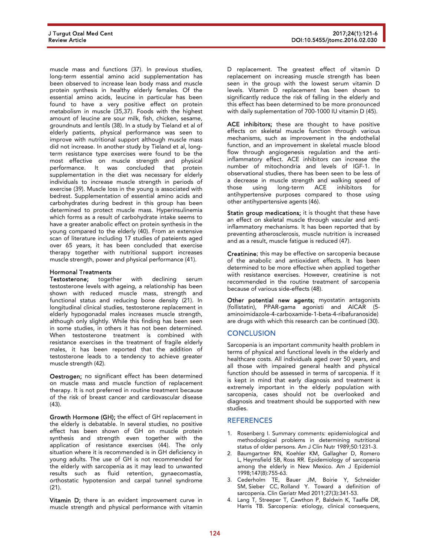muscle mass and functions (37). In previous studies, long-term essential amino acid supplementation has been observed to increase lean body mass and muscle protein synthesis in healthy elderly females. Of the essential amino acids, leucine in particular has been found to have a very positive effect on protein metabolism in muscle (35,37). Foods with the highest amount of leucine are sour milk, fish, chicken, sesame, groundnuts and lentils (38). In a study by Tieland et al of elderly patients, physical performance was seen to improve with nutritional support although muscle mass did not increase. In another study by Tieland et al, longterm resistance type exercises were found to be the most effective on muscle strength and physical performance. It was concluded that protein supplementation in the diet was necessary for elderly individuals to increase muscle strength in periods of exercise (39). Muscle loss in the young is associated with bedrest. Supplementation of essential amino acids and carbohydrates during bedrest in this group has been determined to protect muscle mass. Hyperinsulinemia which forms as a result of carbohydrate intake seems to have a greater anabolic effect on protein synthesis in the young compared to the elderly (40). From an extensive scan of literature including 17 studies of pateients aged over 65 years, it has been concluded that exercise therapy together with nutritional support increases muscle strength, power and physical performance (41).

# Hormonal Treatments

Testosterone; together with declining serum testosterone levels with ageing, a relationship has been shown with reduced muscle mass, strength and functional status and reducing bone density (21). In longitudinal clinical studies, testosterone replacement in elderly hypogonadal males increases muscle strength, although only slightly. While this finding has been seen in some studies, in others it has not been determined. When testosterone treatment is combined with resistance exercises in the treatment of fragile elderly males, it has been reported that the addition of testosterone leads to a tendency to achieve greater muscle strength (42).

Oestrogen; no significant effect has been determined on muscle mass and muscle function of replacement therapy. It is not preferred in routine treatment because of the risk of breast cancer and cardiovascular disease (43).

Growth Hormone (GH); the effect of GH replacement in the elderly is debatable. In several studies, no positive effect has been shown of GH on muscle protein synthesis and strength even together with the application of resistance exercises (44). The only situation where it is recommended is in GH deficiency in young adults. The use of GH is not recommended for the elderly with sarcopenia as it may lead to unwanted results such as fluid retention, gynaecomastia, orthostatic hypotension and carpal tunnel syndrome (21).

Vitamin D; there is an evident improvement curve in muscle strength and physical performance with vitamin

D replacement. The greatest effect of vitamin D replacement on increasing muscle strength has been seen in the group with the lowest serum vitamin D levels. Vitamin D replacement has been shown to significantly reduce the risk of falling in the elderly and this effect has been determined to be more pronounced with daily suplementation of 700-1000 IU vitamin D (45).

ACE inhibitors; these are thought to have positive effects on skeletal muscle function through various mechanisms, such as improvement in the endothelial function, and an improvement in skeletal muscle blood flow through angiogenesis regulation and the antiinflammatory effect. ACE inhibitors can increase the number of mitochondria and levels of IGF-1. In observational studies, there has been seen to be less of a decrease in muscle strength and walking speed of those using long-term ACE inhibitors for antihypertensive purposes compared to those using other antihypertensive agents (46).

Statin group medications; it is thought that these have an effect on skeletal muscle through vascular and antiinflammatory mechanisms. It has been reported that by preventing atherosclerosis, muscle nutrition is increased and as a result, muscle fatigue is reduced (47).

Creatinine; this may be effective on sarcopenia because of the anabolic and antioxidant effects. It has been determined to be more effective when applied together wiith resistance exercises. However, creatinine is not recommended in the routine treatment of sarcopenia because of various side-effects (48).

Other potential new agents; myostatin antagonists (follistatin), PPAR-gama agonisti and AICAR (5 aminoimidazole-4-carboxamide-1-beta-4-ribafuranoside) are drugs with which this research can be continued (30).

# **CONCLUSION**

Sarcopenia is an important community health problem in terms of physical and functional levels in the elderly and healthcare costs. All individuals aged over 50 years, and all those with impaired general health and physical function should be assessed in terms of sarcopenia. If it is kept in mind that early diagnosis and treatment is extremely important in the elderly population with sarcopenia, cases should not be overlooked and diagnosis and treatment should be supported with new studies.

# **REFERENCES**

- 1. Rosenberg I. Summary comments: epidemiological and methodological problems in determining nutritional status of older persons. Am J Clin Nutr 1989;50:1231-3.
- 2. Baumgartner RN, Koehler KM, Gallagher D, Romero L, Heymsfield SB, Ross RR. Epidemiology of sarcopenia among the elderly in New Mexico. Am J Epidemiol 1998;147(8):755-63.
- 3. Cederholm TE, Bauer JM, Boirie Y, Schneider SM, Sieber CC, Rolland Y. Toward a definition of sarcopenia. Clin Geriatr Med 2011;27(3):341-53.
- 4. Lang T, Streeper T, Cawthon P, Baldwin K, Taaffe DR, Harris TB. Sarcopenia: etiology, clinical consequens,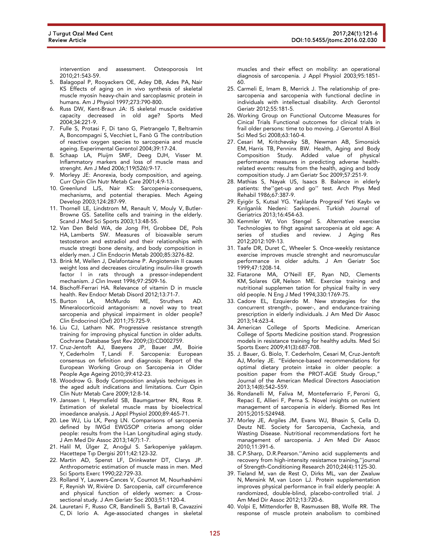intervention and assessment. Osteoporosis Int 2010;21:543-59.

- 5. Balagopal P, Rooyackers OE, Adey DB, Ades PA, Nair KS Effects of aging on in vivo synthesis of skeletal muscle myosin heavy-chain and sarcoplasmic protein in humans. Am J Physiol 1997;273:790-800.
- 6. Russ DW, Kent-Braun JA: IS skeletal muscle oxidative capacity decreased in old age? Sports Med 2004;34:221-9.
- 7. Fulle S, Protasi F, Di tano G, Pietrangelo T, Beltramin A, Boncompagni S, Vecchiet L, Fanò G The contribution of reactive oxygen species to sarcopenia and muscle ageing. Experimental Gerontol 2004;39:17-24.
- 8. Schaap LA, Pluijm SMF, Deeg DJH, Visser M. Inflammatory markers and loss of muscle mass and strenght. Am J Med 2006;119(526):9-17.
- 9. Morleyy JE: Anorexia, body composition, and ageing. Curr Opin Clin Nutr Metab Care 2001;4:9-13.
- 10. Greenlund LJS, Nair KS: Sarcopenia-consequens, mechanisms, and potential therapies. Mech Ageing Develop 2003;124:287-99.
- 11. Thornell LE, Lindstrom M, Renault V, Mouly V, Butler-Browne GS. Satellite cells and training in the elderly. Scand J Med Sci Sports 2003;13:48-55.
- 12. Van Den Beld WA, de Jong FH, Grobbee DE, Pols HA, Lamberts SW. Measures of bioavaible serum testosteron and estradiol and their relationships with muscle stregti bone density, and body composition in elderly men. J Clin Endocrin Metab 2000;85:3276-82.
- 13. Brink M, Wellen J, Delafontaine P. Angiotensin II causes weight loss and decreases circulating insulin-like growth factor I in rats through a pressor-independent mechanism. J Clın Invest 1996;97:2509-16.
- 14. Bischoff-Ferrari HA. Relevance of vitamin D in muscle health. Rev Endocr Metab Disord 2012;13:71-7.<br>15. Burton LA, McMurdo ME, Struthers
- McMurdo ME, Struthers AD. Mineralocorticoid antagonism: a novel way to treat sarcopenia and physical impairment in older people? Clin Endocrinol (Oxf) 2011;75:725-9.
- 16. Liu CJ, Latham NK. Progressive resistance strength training for improving physical function in older adults. Cochrane Database Syst Rev 2009;(3):CD002759.
- 17. Cruz-Jentoft AJ, Baeyens JP, Bauer JM, Boirie Y, Cederholm T, Landi F. Sarcopenia: European consensus on fefinition and diagnosis: Report of the European Working Group on Sarcopenia in Older People Age Ageing 2010;39:412-23.
- 18. Woodrow G. Body Composition analysis techniques in the aged adult indications and limitations. Curr Opin Clin Nutr Metab Care 2009;12:8-14.
- 19. Janssen I, Heymsfield SB, Baumgartner RN, Ross R. Estimation of skeletal muscle mass by bioelectrical imoedance analysis. J Appl Physiol 2000;89:465-71.
- 20. Lee WJ, Liu LK, Peng LN. Comparisons of sarcopenia defined by IWGd EWGSOP criteria among older people: results from the I-Lan Longitudinal aging study. J Am Med Dir Assoc 2013;14(7):1-7.
- 21. Halil M, Ülger Z, Arıoğul S. Sarkopeniye yaklaşım. Hacettepe Tip Dergisi 2011;42:123-32.
- 22. Martin AD, Spenst LF, Drinkwater DT, Clarys JP. Anthropometric estimation of muscle mass in men. Med Sci Sports Exerc 1990;22:729-33.
- 23. Rolland Y, Lauwers-Cances V, Cournot M, Nourhashémi F, Reynish W, Rivière D. Sarcopenia, calf circumference and physical function of elderly women: a Crosssectional study. J Am Geriatr Soc 2003;51:1120-4.
- 24. Lauretani F, Russo CR, Bandinelli S, Bartali B, Cavazzini C, Di Iorio A. Age-associated changes in skeletal

muscles and their effect on mobility: an operational diagnosis of sarcopenia. J Appl Physiol 2003;95:1851- 60.

- 25. Carmeli E, Imam B, Merrick J. The relationship of presarcopenia and sarcopenia with functional decline in individuals with intellectual disability. Arch Gerontol Geriatr 2012;55:181-5.
- 26. Working Group on Functional Outcome Measures for Cinical Trials Functional outcomes for clinical trials in frail older persons: time to bo moving. J Gerontol A Biol Sci Med Sci 2008;63:160-4.
- 27. Cesari M, Kritchevsky SB, Newman AB, Simonsick EM, Harris TB, Penninx BW. Health, Aging and Body Composition Study. Added value of physical performance measures in predicting adverse healthrelated events: results from the health, aging and body composition study. J am Geriatr Soc 2009;57:251-9.
- 28. Mathias S, Nayak US, Isaacs B. Balance in elderly patients: the''get-up and go'' test. Arch Phys Med Rehabil 1986;67:387-9.
- 29. Eyigör S, Kutsal YG. Yaşlılarda Progresif Yeti Kaybı ve Kırılganlık Nedeni: Sarkopeni. Turkish Journal of Geriatrics 2013;16:454-63.
- 30. Kemmler W, Von Stengel S. Alternative exercise Technologies to fihgt against sarcopenia at old age: A series of studies and review. J Aging Res 2012;2012:109-13.
- 31. Taafe DR, Duret C, Wheeler S. Once-weekly resistance exercise improves muscle strenght and neuromuscular performance in older adults. J Am Geriatr Soc 1999;47:1208-14.
- 32. Fiatarone MA, O'Neill EF, Ryan ND, Clements KM, Solares GR, Nelson ME. Exercise training and nutritional supplemen tation for physical frailty in very old people. N Eng J Med 1994;330:1769-75.
- 33. Cadore EL, Ezquierdo M. New strategies for the concurrent strength-, power-, and endurance-training prescription in elderly individuals. J Am Med Dir Assoc 2013;14:623-4.
- 34. American College of Sports Medicine. American College of Sports Medicine position stand. Progression models in resistance training for healthy adults. Med Sci Sports Exerc 2009;41(3):687-708.
- 35. J. Bauer, G. Biolo, T. Cederholm, Cesari M, Cruz-Jentoft AJ, Morley JE. "Evidence-based recommendations for optimal dietary protein intake in older people: a position paper from the PROT-AGE Study Group," Journal of the American Medical Directors Association 2013;14(8):542–559.
- 36. Rondanelli M, Faliva M, Monteferrario F, Peroni G, Repaci E, Allieri F, Perna S. Novel insights on nutrient management of sarcopenia in elderly. Biomed Res Int 2015;2015:524948.
- 37. Morley JE, Argiles JM, Evans WJ, Bhasin S, Cella D, Deutz NE. Society for Sarcopenia, Cachexia, and Wasting Disease. Nutritional recommendations fort he management of sarcopenia. J Am Med Dir Assoc 2010;11:391-6.
- 38. C.P.Sharp, D.R.Pearson.''Amino acid supplements and recovery from high-intensity resistamce training,''journal of Strength-Conditioning Research 2010;24(4):1125-30.
- 39. Tieland M, van de Rest O, Dirks ML, van der Zwaluw N, Mensink M, van Loon LJ. Protein supplementation improves physical performance in frail elderly people: A randomized, double-blind, placebo-controlled trial. J Am Med Dir Assoc 2012;13:720-6.
- 40. Volpi E, Mittendorfer B, Rasmussen BB, Wolfe RR. The response of muscle protein anabolism to combined